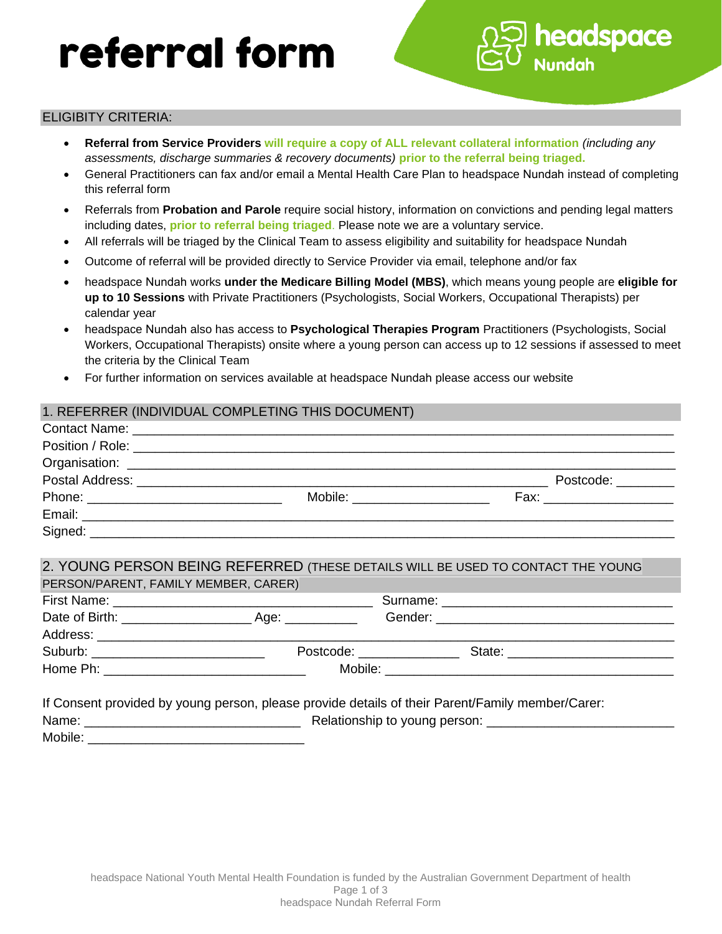# referral form



- **Referral from Service Providers will require a copy of ALL relevant collateral information** *(including any assessments, discharge summaries & recovery documents)* **prior to the referral being triaged.**
- General Practitioners can fax and/or email a Mental Health Care Plan to headspace Nundah instead of completing this referral form

headspace

- Referrals from **Probation and Parole** require social history, information on convictions and pending legal matters including dates, **prior to referral being triaged**. Please note we are a voluntary service.
- All referrals will be triaged by the Clinical Team to assess eligibility and suitability for headspace Nundah
- Outcome of referral will be provided directly to Service Provider via email, telephone and/or fax
- headspace Nundah works **under the Medicare Billing Model (MBS)**, which means young people are **eligible for up to 10 Sessions** with Private Practitioners (Psychologists, Social Workers, Occupational Therapists) per calendar year
- headspace Nundah also has access to **Psychological Therapies Program** Practitioners (Psychologists, Social Workers, Occupational Therapists) onsite where a young person can access up to 12 sessions if assessed to meet the criteria by the Clinical Team
- For further information on services available at headspace Nundah please access our website

#### 1. REFERRER (INDIVIDUAL COMPLETING THIS DOCUMENT)

|         |                           | Postcode: _______        |
|---------|---------------------------|--------------------------|
|         | Mobile: _________________ | Fax: ___________________ |
|         |                           |                          |
| Signed: |                           |                          |

# 2. YOUNG PERSON BEING REFERRED (THESE DETAILS WILL BE USED TO CONTACT THE YOUNG

| PERSON/PARENT, FAMILY MEMBER, CARER) |                              |                                                                                                                                                                                                                                |
|--------------------------------------|------------------------------|--------------------------------------------------------------------------------------------------------------------------------------------------------------------------------------------------------------------------------|
|                                      |                              |                                                                                                                                                                                                                                |
| Date of Birth: __________________    | Age: __________              |                                                                                                                                                                                                                                |
|                                      |                              |                                                                                                                                                                                                                                |
|                                      | Postcode: National Postcode: | State: ________________________                                                                                                                                                                                                |
|                                      |                              | Mobile: the contract of the contract of the contract of the contract of the contract of the contract of the contract of the contract of the contract of the contract of the contract of the contract of the contract of the co |

|         | If Consent provided by young person, please provide details of their Parent/Family member/Carer: |
|---------|--------------------------------------------------------------------------------------------------|
| Name:   | Relationship to young person:                                                                    |
| Mobile: |                                                                                                  |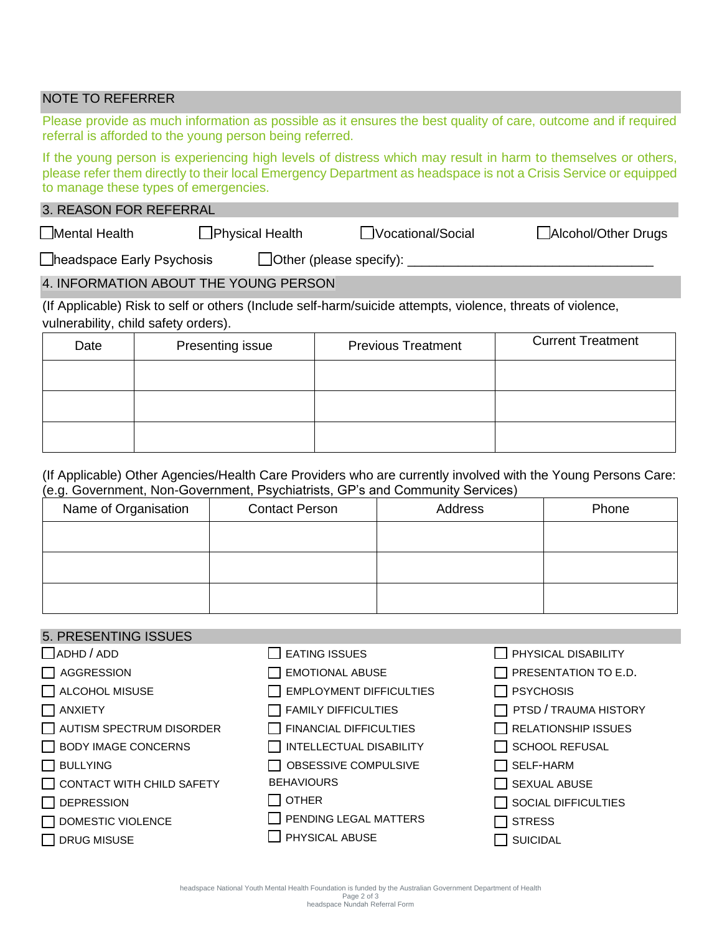# NOTE TO REFERRER

Please provide as much information as possible as it ensures the best quality of care, outcome and if required referral is afforded to the young person being referred.

If the young person is experiencing high levels of distress which may result in harm to themselves or others, please refer them directly to their local Emergency Department as headspace is not a Crisis Service or equipped to manage these types of emergencies.

# 3. REASON FOR REFERRAL

☐Mental Health ☐Physical Health ☐Vocational/Social ☐Alcohol/Other Drugs

 $\Box$ headspace Early Psychosis  $\Box$ Other (please specify):  $\Box$ 

# 4. INFORMATION ABOUT THE YOUNG PERSON

(If Applicable) Risk to self or others (Include self-harm/suicide attempts, violence, threats of violence, vulnerability, child safety orders).

| Date | Presenting issue | <b>Previous Treatment</b> | <b>Current Treatment</b> |
|------|------------------|---------------------------|--------------------------|
|      |                  |                           |                          |
|      |                  |                           |                          |
|      |                  |                           |                          |

#### (If Applicable) Other Agencies/Health Care Providers who are currently involved with the Young Persons Care: (e.g. Government, Non-Government, Psychiatrists, GP's and Community Services)

| Name of Organisation | <b>Contact Person</b> | Address | Phone |
|----------------------|-----------------------|---------|-------|
|                      |                       |         |       |
|                      |                       |         |       |
|                      |                       |         |       |
|                      |                       |         |       |

#### 5. PRESENTING ISSUES  $\Box$ ADHD / ADD ☐ AGGRESSION ☐ ALCOHOL MISUSE ☐ ANXIETY  $\Box$  AUTISM SPECTRUM DISORDER ☐ BODY IMAGE CONCERNS ☐ BULLYING ◯ CONTACT WITH CHILD SAFETY ☐ DEPRESSION ☐ DOMESTIC VIOLENCE ☐ DRUG MISUSE  $\Box$  EATING ISSUES □ EMOTIONAL ABUSE ☐ EMPLOYMENT DIFFICULTIES  $\Box$  FAMILY DIFFICULTIES  $\Box$  FINANCIAL DIFFICULTIES ☐ INTELLECTUAL DISABILITY ☐ OBSESSIVE COMPULSIVE **BEHAVIOURS** ☐ OTHER □ PENDING LEGAL MATTERS ☐ PHYSICAL ABUSE □ PHYSICAL DISABILITY  $\Box$  PRESENTATION TO E.D. ☐ PSYCHOSIS ☐ PTSD / TRAUMA HISTORY  $\Box$  RELATIONSHIP ISSUES □ SCHOOL REFUSAL ☐ SELF-HARM  $\Box$  SEXUAL ABUSE ☐ SOCIAL DIFFICULTIES ☐ STRESS ☐ SUICIDAL

headspace National Youth Mental Health Foundation is funded by the Australian Government Department of Health Page 2 of 3